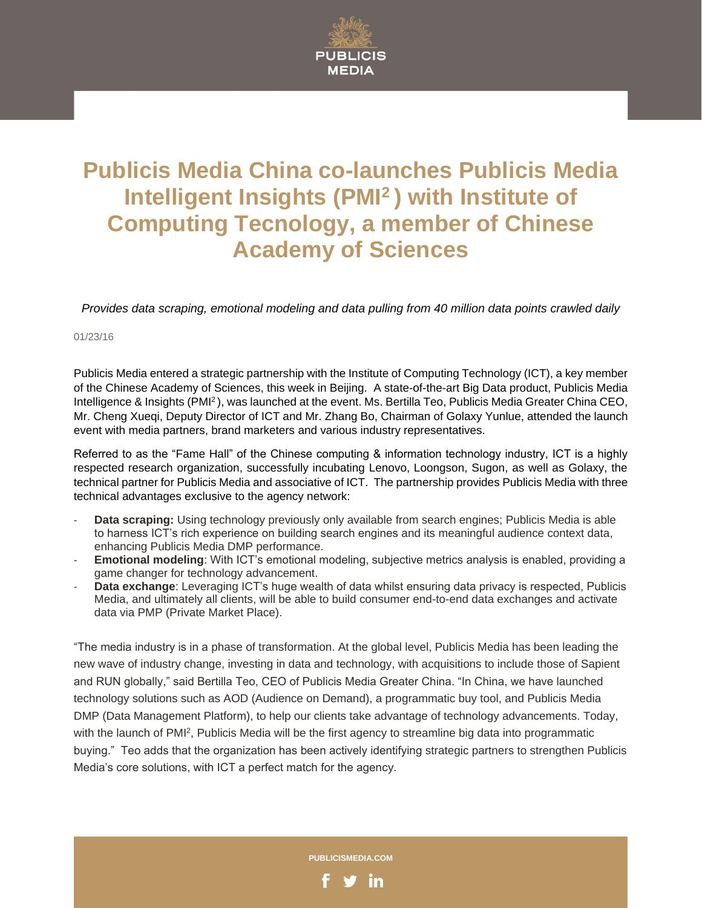

## **Publicis Media China co-launches Publicis Media Intelligent Insights (PMI<sup>2</sup>) with Institute of Computing Tecnology, a member of Chinese Academy of Sciences**

*Provides data scraping, emotional modeling and data pulling from 40 million data points crawled daily*

01/23/16

Publicis Media entered a strategic partnership with the Institute of Computing Technology (ICT), a key member of the Chinese Academy of Sciences, this week in Beijing. A state-of-the-art Big Data product, Publicis Media Intelligence & Insights (PMI<sup>2</sup>), was launched at the event. Ms. Bertilla Teo, Publicis Media Greater China CEO, Mr. Cheng Xueqi, Deputy Director of ICT and Mr. Zhang Bo, Chairman of Golaxy Yunlue, attended the launch event with media partners, brand marketers and various industry representatives.

Referred to as the "Fame Hall" of the Chinese computing & information technology industry, ICT is a highly respected research organization, successfully incubating Lenovo, Loongson, Sugon, as well as Golaxy, the technical partner for Publicis Media and associative of ICT. The partnership provides Publicis Media with three technical advantages exclusive to the agency network:

- **Data scraping:** Using technology previously only available from search engines; Publicis Media is able to harness ICT's rich experience on building search engines and its meaningful audience context data, enhancing Publicis Media DMP performance.
- **Emotional modeling**: With ICT's emotional modeling, subjective metrics analysis is enabled, providing a game changer for technology advancement.
- **Data exchange:** Leveraging ICT's huge wealth of data whilst ensuring data privacy is respected, Publicis Media, and ultimately all clients, will be able to build consumer end-to-end data exchanges and activate data via PMP (Private Market Place).

"The media industry is in a phase of transformation. At the global level, Publicis Media has been leading the new wave of industry change, investing in data and technology, with acquisitions to include those of Sapient and RUN globally," said Bertilla Teo, CEO of Publicis Media Greater China. "In China, we have launched technology solutions such as AOD (Audience on Demand), a programmatic buy tool, and Publicis Media DMP (Data Management Platform), to help our clients take advantage of technology advancements. Today, with the launch of PMI<sup>2</sup>, Publicis Media will be the first agency to streamline big data into programmatic buying." Teo adds that the organization has been actively identifying strategic partners to strengthen Publicis Media's core solutions, with ICT a perfect match for the agency.

**PUBLICISMEDIA.COM**

in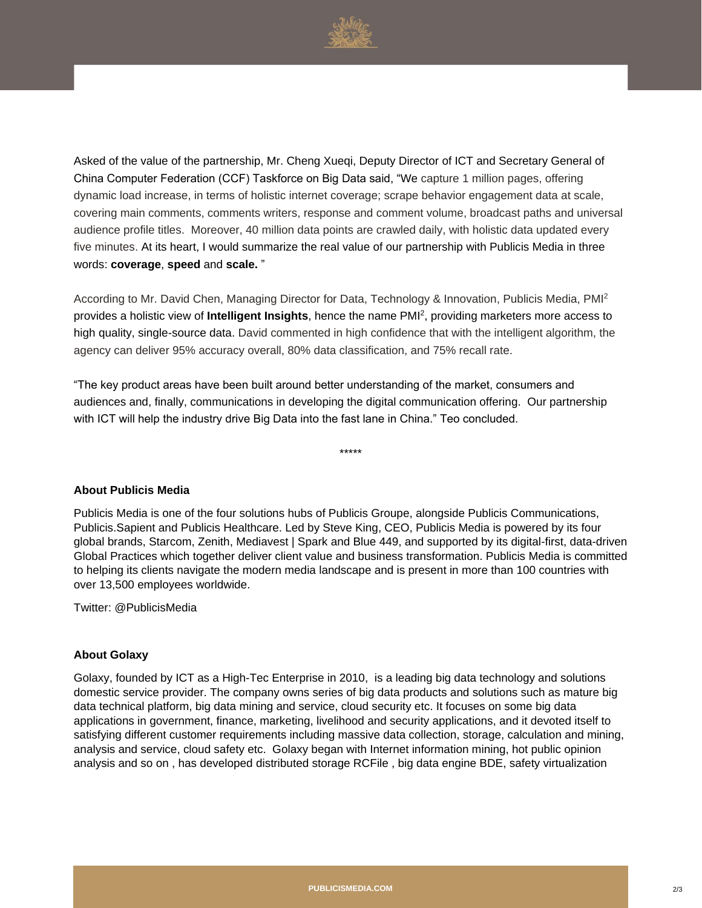

Asked of the value of the partnership, Mr. Cheng Xueqi, Deputy Director of ICT and Secretary General of China Computer Federation (CCF) Taskforce on Big Data said, "We capture 1 million pages, offering dynamic load increase, in terms of holistic internet coverage; scrape behavior engagement data at scale, covering main comments, comments writers, response and comment volume, broadcast paths and universal audience profile titles. Moreover, 40 million data points are crawled daily, with holistic data updated every five minutes. At its heart, I would summarize the real value of our partnership with Publicis Media in three words: **coverage**, **speed** and **scale.** "

According to Mr. David Chen, Managing Director for Data, Technology & Innovation, Publicis Media, PMI<sup>2</sup> provides a holistic view of **Intelligent Insights**, hence the name PMI<sup>2</sup> , providing marketers more access to high quality, single-source data. David commented in high confidence that with the intelligent algorithm, the agency can deliver 95% accuracy overall, 80% data classification, and 75% recall rate.

"The key product areas have been built around better understanding of the market, consumers and audiences and, finally, communications in developing the digital communication offering. Our partnership with ICT will help the industry drive Big Data into the fast lane in China." Teo concluded.

\*\*\*\*\*

## **About Publicis Media**

Publicis Media is one of the four solutions hubs of Publicis Groupe, alongside Publicis Communications, Publicis.Sapient and Publicis Healthcare. Led by Steve King, CEO, Publicis Media is powered by its four global brands, Starcom, Zenith, Mediavest | Spark and Blue 449, and supported by its digital-first, data-driven Global Practices which together deliver client value and business transformation. Publicis Media is committed to helping its clients navigate the modern media landscape and is present in more than 100 countries with over 13,500 employees worldwide.

Twitter: @PublicisMedia

## **About Golaxy**

Golaxy, founded by ICT as a High-Tec Enterprise in 2010, is a leading big data technology and solutions domestic service provider. The company owns series of big data products and solutions such as mature big data technical platform, big data mining and service, cloud security etc. It focuses on some big data applications in government, finance, marketing, livelihood and security applications, and it devoted itself to satisfying different customer requirements including massive data collection, storage, calculation and mining, analysis and service, cloud safety etc. Golaxy began with Internet information mining, hot public opinion analysis and so on , has developed distributed storage RCFile , big data engine BDE, safety virtualization